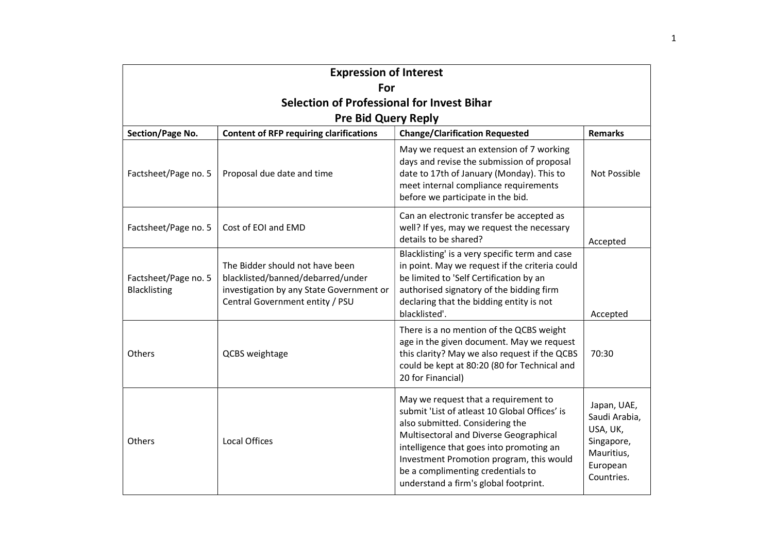| <b>Expression of Interest</b>                     |                                                                                                                                                     |                                                                                                                                                                                                                                                                                                                                          |                                                                                                |
|---------------------------------------------------|-----------------------------------------------------------------------------------------------------------------------------------------------------|------------------------------------------------------------------------------------------------------------------------------------------------------------------------------------------------------------------------------------------------------------------------------------------------------------------------------------------|------------------------------------------------------------------------------------------------|
| For                                               |                                                                                                                                                     |                                                                                                                                                                                                                                                                                                                                          |                                                                                                |
| <b>Selection of Professional for Invest Bihar</b> |                                                                                                                                                     |                                                                                                                                                                                                                                                                                                                                          |                                                                                                |
|                                                   | <b>Pre Bid Query Reply</b>                                                                                                                          |                                                                                                                                                                                                                                                                                                                                          |                                                                                                |
| Section/Page No.                                  | <b>Content of RFP requiring clarifications</b>                                                                                                      | <b>Change/Clarification Requested</b>                                                                                                                                                                                                                                                                                                    | <b>Remarks</b>                                                                                 |
| Factsheet/Page no. 5                              | Proposal due date and time                                                                                                                          | May we request an extension of 7 working<br>days and revise the submission of proposal<br>date to 17th of January (Monday). This to<br>meet internal compliance requirements<br>before we participate in the bid.                                                                                                                        | Not Possible                                                                                   |
| Factsheet/Page no. 5                              | Cost of EOI and EMD                                                                                                                                 | Can an electronic transfer be accepted as<br>well? If yes, may we request the necessary<br>details to be shared?                                                                                                                                                                                                                         | Accepted                                                                                       |
| Factsheet/Page no. 5<br>Blacklisting              | The Bidder should not have been<br>blacklisted/banned/debarred/under<br>investigation by any State Government or<br>Central Government entity / PSU | Blacklisting' is a very specific term and case<br>in point. May we request if the criteria could<br>be limited to 'Self Certification by an<br>authorised signatory of the bidding firm<br>declaring that the bidding entity is not<br>blacklisted'.                                                                                     | Accepted                                                                                       |
| Others                                            | QCBS weightage                                                                                                                                      | There is a no mention of the QCBS weight<br>age in the given document. May we request<br>this clarity? May we also request if the QCBS<br>could be kept at 80:20 (80 for Technical and<br>20 for Financial)                                                                                                                              | 70:30                                                                                          |
| Others                                            | <b>Local Offices</b>                                                                                                                                | May we request that a requirement to<br>submit 'List of atleast 10 Global Offices' is<br>also submitted. Considering the<br>Multisectoral and Diverse Geographical<br>intelligence that goes into promoting an<br>Investment Promotion program, this would<br>be a complimenting credentials to<br>understand a firm's global footprint. | Japan, UAE,<br>Saudi Arabia,<br>USA, UK,<br>Singapore,<br>Mauritius,<br>European<br>Countries. |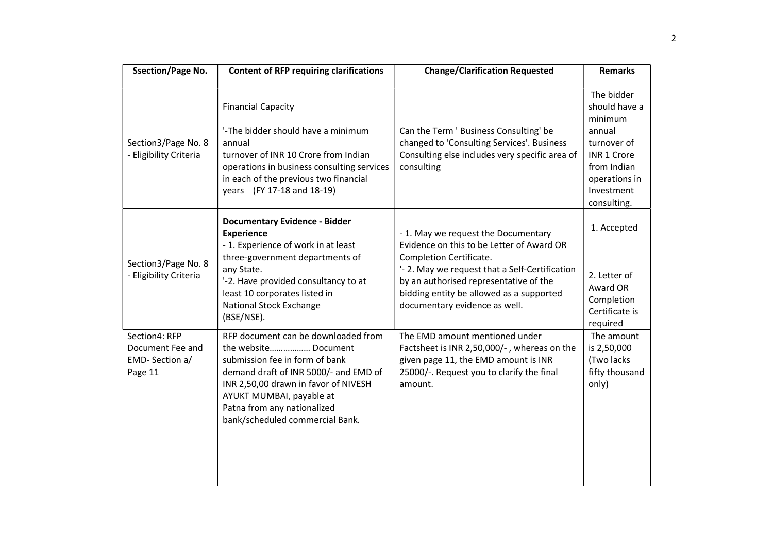| <b>Ssection/Page No.</b>                                       | <b>Content of RFP requiring clarifications</b>                                                                                                                                                                                                                               | <b>Change/Clarification Requested</b>                                                                                                                                                                                                                                                | <b>Remarks</b>                                                                                                                                     |
|----------------------------------------------------------------|------------------------------------------------------------------------------------------------------------------------------------------------------------------------------------------------------------------------------------------------------------------------------|--------------------------------------------------------------------------------------------------------------------------------------------------------------------------------------------------------------------------------------------------------------------------------------|----------------------------------------------------------------------------------------------------------------------------------------------------|
| Section3/Page No. 8<br>- Eligibility Criteria                  | <b>Financial Capacity</b><br>'-The bidder should have a minimum<br>annual<br>turnover of INR 10 Crore from Indian<br>operations in business consulting services<br>in each of the previous two financial<br>years (FY 17-18 and 18-19)                                       | Can the Term ' Business Consulting' be<br>changed to 'Consulting Services'. Business<br>Consulting else includes very specific area of<br>consulting                                                                                                                                 | The bidder<br>should have a<br>minimum<br>annual<br>turnover of<br><b>INR 1 Crore</b><br>from Indian<br>operations in<br>Investment<br>consulting. |
| Section3/Page No. 8<br>- Eligibility Criteria                  | <b>Documentary Evidence - Bidder</b><br><b>Experience</b><br>- 1. Experience of work in at least<br>three-government departments of<br>any State.<br>'-2. Have provided consultancy to at<br>least 10 corporates listed in<br>National Stock Exchange<br>(BSE/NSE).          | - 1. May we request the Documentary<br>Evidence on this to be Letter of Award OR<br>Completion Certificate.<br>'- 2. May we request that a Self-Certification<br>by an authorised representative of the<br>bidding entity be allowed as a supported<br>documentary evidence as well. | 1. Accepted<br>2. Letter of<br>Award OR<br>Completion<br>Certificate is<br>required                                                                |
| Section4: RFP<br>Document Fee and<br>EMD-Section a/<br>Page 11 | RFP document can be downloaded from<br>the website Document<br>submission fee in form of bank<br>demand draft of INR 5000/- and EMD of<br>INR 2,50,00 drawn in favor of NIVESH<br>AYUKT MUMBAI, payable at<br>Patna from any nationalized<br>bank/scheduled commercial Bank. | The EMD amount mentioned under<br>Factsheet is INR 2,50,000/-, whereas on the<br>given page 11, the EMD amount is INR<br>25000/-. Request you to clarify the final<br>amount.                                                                                                        | The amount<br>is 2,50,000<br>(Two lacks<br>fifty thousand<br>only)                                                                                 |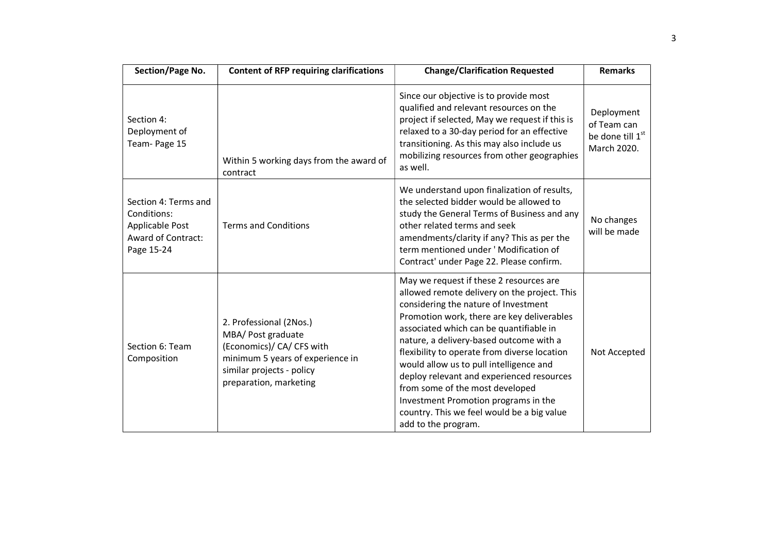| Section/Page No.                                                                           | <b>Content of RFP requiring clarifications</b>                                                                                                                        | <b>Change/Clarification Requested</b>                                                                                                                                                                                                                                                                                                                                                                                                                                                                                                                       | <b>Remarks</b>                                                           |
|--------------------------------------------------------------------------------------------|-----------------------------------------------------------------------------------------------------------------------------------------------------------------------|-------------------------------------------------------------------------------------------------------------------------------------------------------------------------------------------------------------------------------------------------------------------------------------------------------------------------------------------------------------------------------------------------------------------------------------------------------------------------------------------------------------------------------------------------------------|--------------------------------------------------------------------------|
| Section 4:<br>Deployment of<br>Team-Page 15                                                | Within 5 working days from the award of<br>contract                                                                                                                   | Since our objective is to provide most<br>qualified and relevant resources on the<br>project if selected, May we request if this is<br>relaxed to a 30-day period for an effective<br>transitioning. As this may also include us<br>mobilizing resources from other geographies<br>as well.                                                                                                                                                                                                                                                                 | Deployment<br>of Team can<br>be done till 1 <sup>st</sup><br>March 2020. |
| Section 4: Terms and<br>Conditions:<br>Applicable Post<br>Award of Contract:<br>Page 15-24 | <b>Terms and Conditions</b>                                                                                                                                           | We understand upon finalization of results,<br>the selected bidder would be allowed to<br>study the General Terms of Business and any<br>other related terms and seek<br>amendments/clarity if any? This as per the<br>term mentioned under 'Modification of<br>Contract' under Page 22. Please confirm.                                                                                                                                                                                                                                                    | No changes<br>will be made                                               |
| Section 6: Team<br>Composition                                                             | 2. Professional (2Nos.)<br>MBA/ Post graduate<br>(Economics)/ CA/ CFS with<br>minimum 5 years of experience in<br>similar projects - policy<br>preparation, marketing | May we request if these 2 resources are<br>allowed remote delivery on the project. This<br>considering the nature of Investment<br>Promotion work, there are key deliverables<br>associated which can be quantifiable in<br>nature, a delivery-based outcome with a<br>flexibility to operate from diverse location<br>would allow us to pull intelligence and<br>deploy relevant and experienced resources<br>from some of the most developed<br>Investment Promotion programs in the<br>country. This we feel would be a big value<br>add to the program. | Not Accepted                                                             |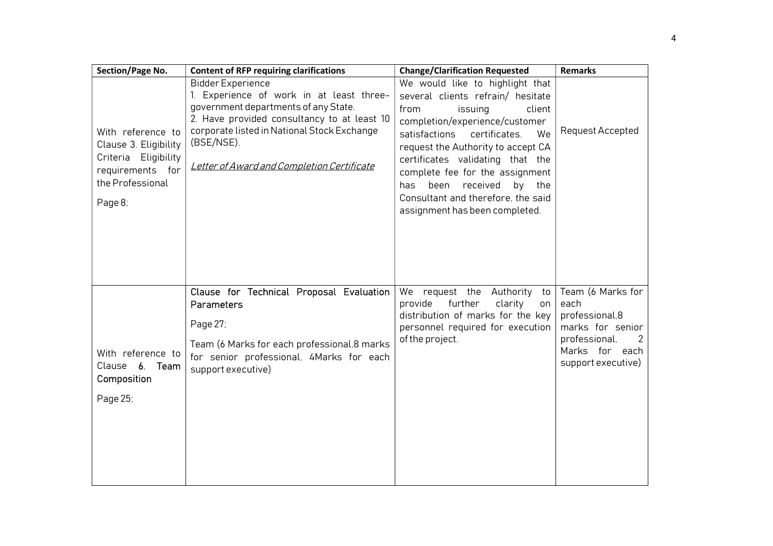| Section/Page No.                                                                                                      | <b>Content of RFP requiring clarifications</b>                                                                                                                                                                                                                         | <b>Change/Clarification Requested</b>                                                                                                                                                                                                                                                                                                                                                              | <b>Remarks</b>                                                                                                            |
|-----------------------------------------------------------------------------------------------------------------------|------------------------------------------------------------------------------------------------------------------------------------------------------------------------------------------------------------------------------------------------------------------------|----------------------------------------------------------------------------------------------------------------------------------------------------------------------------------------------------------------------------------------------------------------------------------------------------------------------------------------------------------------------------------------------------|---------------------------------------------------------------------------------------------------------------------------|
| With reference to<br>Clause 3. Eligibility<br>Criteria Eligibility<br>requirements for<br>the Professional<br>Page 8: | <b>Bidder Experience</b><br>1. Experience of work in at least three-<br>government departments of any State.<br>2. Have provided consultancy to at least 10<br>corporate listed in National Stock Exchange<br>(BSE/NSE).<br>Letter of Award and Completion Certificate | We would like to highlight that<br>several clients refrain/ hesitate<br>client<br>from<br>issuing<br>completion/experience/customer<br>satisfactions<br>certificates.<br>We<br>request the Authority to accept CA<br>certificates validating that the<br>complete fee for the assignment<br>been received<br>by the<br>has<br>Consultant and therefore, the said<br>assignment has been completed. | <b>Request Accepted</b>                                                                                                   |
| With reference to<br>Clause 6.<br>Team<br>Composition<br>Page 25;                                                     | Clause for Technical Proposal Evaluation<br>Parameters<br>Page 27;<br>Team (6 Marks for each professional, 8 marks<br>for senior professional, 4Marks for each<br>support executive)                                                                                   | We<br>request the Authority<br>to<br>provide<br>further<br>clarity<br>on<br>distribution of marks for the key<br>personnel required for execution<br>of the project.                                                                                                                                                                                                                               | Team (6 Marks for<br>each<br>professional, 8<br>marks for senior<br>professional,<br>Marks for each<br>support executive) |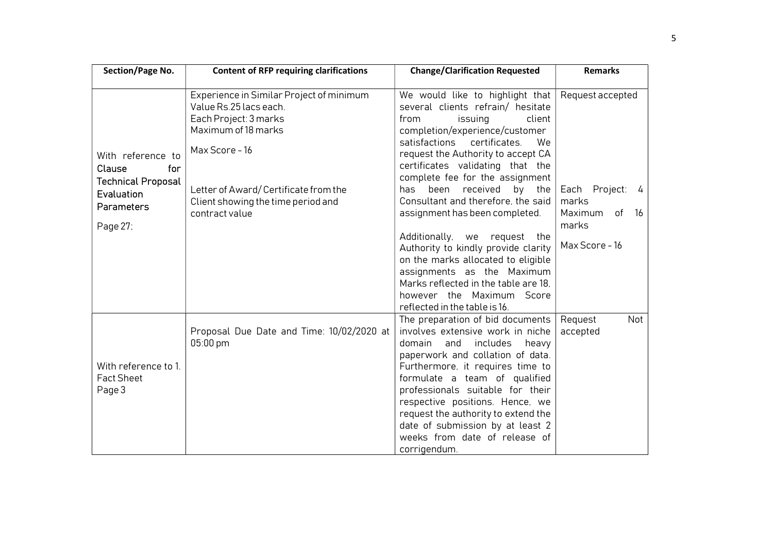| Section/Page No.                   | <b>Content of RFP requiring clarifications</b> | <b>Change/Clarification Requested</b>                                                                          | <b>Remarks</b>               |
|------------------------------------|------------------------------------------------|----------------------------------------------------------------------------------------------------------------|------------------------------|
|                                    | Experience in Similar Project of minimum       | We would like to highlight that                                                                                | Request accepted             |
|                                    | Value Rs.25 lacs each.                         | several clients refrain/ hesitate                                                                              |                              |
|                                    | Each Project: 3 marks                          | from<br>issuing<br>client                                                                                      |                              |
|                                    | Maximum of 18 marks                            | completion/experience/customer                                                                                 |                              |
| With reference to<br>Clause<br>for | Max Score - 16                                 | satisfactions<br>certificates.<br>We<br>request the Authority to accept CA<br>certificates validating that the |                              |
| <b>Technical Proposal</b>          |                                                | complete fee for the assignment                                                                                |                              |
| Evaluation                         | Letter of Award/Certificate from the           | been<br>received<br>by<br>has<br>the<br>Consultant and therefore, the said                                     | Each Project:<br>- 4         |
| <b>Parameters</b>                  | Client showing the time period and             |                                                                                                                | marks<br>Maximum<br>of<br>16 |
|                                    | contract value                                 | assignment has been completed.                                                                                 |                              |
| Page 27;                           |                                                | Additionally, we<br>request<br>the                                                                             | marks                        |
|                                    |                                                | Authority to kindly provide clarity                                                                            | Max Score - 16               |
|                                    |                                                | on the marks allocated to eligible                                                                             |                              |
|                                    |                                                | assignments as the Maximum                                                                                     |                              |
|                                    |                                                | Marks reflected in the table are 18.                                                                           |                              |
|                                    |                                                | however the Maximum Score                                                                                      |                              |
|                                    |                                                | reflected in the table is 16.                                                                                  |                              |
|                                    |                                                | The preparation of bid documents                                                                               | Not<br>Request               |
|                                    | Proposal Due Date and Time: 10/02/2020 at      | involves extensive work in niche                                                                               | accepted                     |
|                                    | 05:00 pm                                       | domain<br>and<br>includes<br>heavy                                                                             |                              |
|                                    |                                                | paperwork and collation of data.                                                                               |                              |
| With reference to 1.               |                                                | Furthermore, it requires time to                                                                               |                              |
| <b>Fact Sheet</b>                  |                                                | formulate a team of qualified                                                                                  |                              |
| Page 3                             |                                                | professionals suitable for their                                                                               |                              |
|                                    |                                                | respective positions. Hence, we<br>request the authority to extend the                                         |                              |
|                                    |                                                | date of submission by at least 2                                                                               |                              |
|                                    |                                                | weeks from date of release of                                                                                  |                              |
|                                    |                                                | corrigendum.                                                                                                   |                              |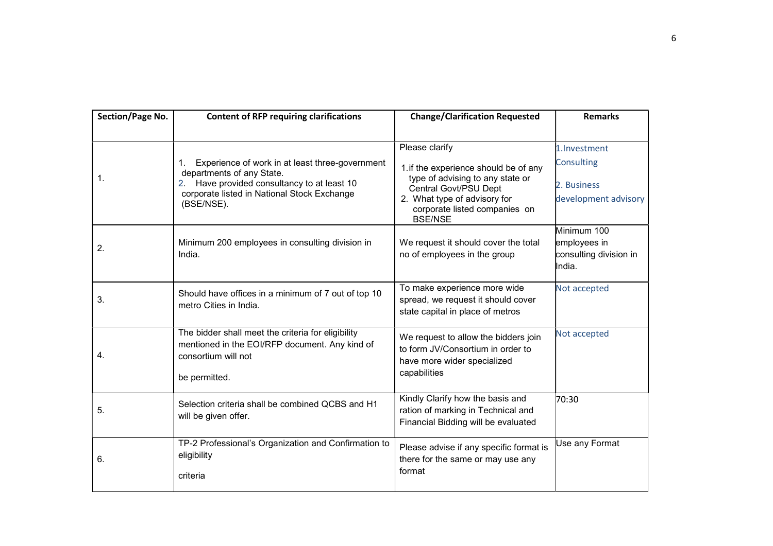| Section/Page No. | <b>Content of RFP requiring clarifications</b>                                             | <b>Change/Clarification Requested</b>                                           | <b>Remarks</b>                           |
|------------------|--------------------------------------------------------------------------------------------|---------------------------------------------------------------------------------|------------------------------------------|
|                  |                                                                                            |                                                                                 |                                          |
|                  |                                                                                            | Please clarify                                                                  | 1.Investment                             |
| 1.               | Experience of work in at least three-government<br>1.<br>departments of any State.         | 1. if the experience should be of any<br>type of advising to any state or       | Consulting                               |
|                  | 2. Have provided consultancy to at least 10<br>corporate listed in National Stock Exchange | Central Govt/PSU Dept                                                           | 2. Business                              |
|                  | (BSE/NSE).                                                                                 | 2. What type of advisory for<br>corporate listed companies on<br><b>BSE/NSE</b> | development advisory                     |
|                  |                                                                                            |                                                                                 | Minimum 100                              |
| 2.               | Minimum 200 employees in consulting division in                                            | We request it should cover the total                                            | employees in                             |
|                  | India.                                                                                     | no of employees in the group                                                    | consulting division in<br><b>I</b> ndia. |
| 3.               | Should have offices in a minimum of 7 out of top 10                                        | To make experience more wide                                                    | Not accepted                             |
|                  | metro Cities in India.                                                                     | spread, we request it should cover                                              |                                          |
|                  |                                                                                            | state capital in place of metros                                                |                                          |
|                  | The bidder shall meet the criteria for eligibility                                         | We request to allow the bidders join                                            | Not accepted                             |
| 4.               | mentioned in the EOI/RFP document. Any kind of<br>consortium will not                      | to form JV/Consortium in order to<br>have more wider specialized                |                                          |
|                  |                                                                                            | capabilities                                                                    |                                          |
|                  | be permitted.                                                                              |                                                                                 |                                          |
|                  | Selection criteria shall be combined QCBS and H1                                           | Kindly Clarify how the basis and                                                | 70:30                                    |
| 5.               | will be given offer.                                                                       | ration of marking in Technical and<br>Financial Bidding will be evaluated       |                                          |
|                  |                                                                                            |                                                                                 |                                          |
| 6.               | TP-2 Professional's Organization and Confirmation to<br>eligibility                        | Please advise if any specific format is                                         | Use any Format                           |
|                  |                                                                                            | there for the same or may use any                                               |                                          |
|                  | criteria                                                                                   | format                                                                          |                                          |
|                  |                                                                                            |                                                                                 |                                          |